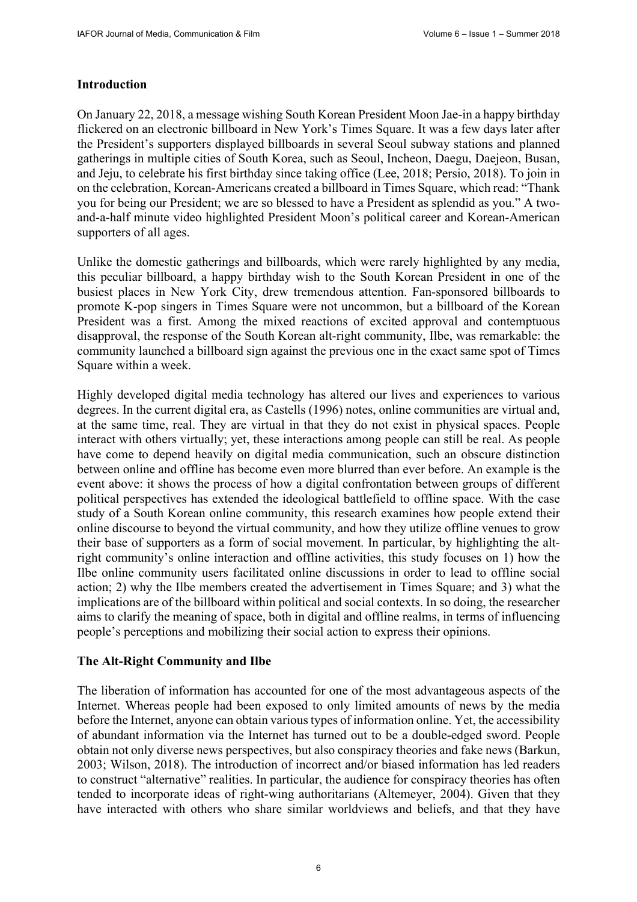# **Introduction**

On January 22, 2018, a message wishing South Korean President Moon Jae-in a happy birthday flickered on an electronic billboard in New York's Times Square. It was a few days later after the President's supporters displayed billboards in several Seoul subway stations and planned gatherings in multiple cities of South Korea, such as Seoul, Incheon, Daegu, Daejeon, Busan, and Jeju, to celebrate his first birthday since taking office (Lee, 2018; Persio, 2018). To join in on the celebration, Korean-Americans created a billboard in Times Square, which read: "Thank you for being our President; we are so blessed to have a President as splendid as you." A twoand-a-half minute video highlighted President Moon's political career and Korean-American supporters of all ages.

Unlike the domestic gatherings and billboards, which were rarely highlighted by any media, this peculiar billboard, a happy birthday wish to the South Korean President in one of the busiest places in New York City, drew tremendous attention. Fan-sponsored billboards to promote K-pop singers in Times Square were not uncommon, but a billboard of the Korean President was a first. Among the mixed reactions of excited approval and contemptuous disapproval, the response of the South Korean alt-right community, Ilbe, was remarkable: the community launched a billboard sign against the previous one in the exact same spot of Times Square within a week.

Highly developed digital media technology has altered our lives and experiences to various degrees. In the current digital era, as Castells (1996) notes, online communities are virtual and, at the same time, real. They are virtual in that they do not exist in physical spaces. People interact with others virtually; yet, these interactions among people can still be real. As people have come to depend heavily on digital media communication, such an obscure distinction between online and offline has become even more blurred than ever before. An example is the event above: it shows the process of how a digital confrontation between groups of different political perspectives has extended the ideological battlefield to offline space. With the case study of a South Korean online community, this research examines how people extend their online discourse to beyond the virtual community, and how they utilize offline venues to grow their base of supporters as a form of social movement. In particular, by highlighting the altright community's online interaction and offline activities, this study focuses on 1) how the Ilbe online community users facilitated online discussions in order to lead to offline social action; 2) why the Ilbe members created the advertisement in Times Square; and 3) what the implications are of the billboard within political and social contexts. In so doing, the researcher aims to clarify the meaning of space, both in digital and offline realms, in terms of influencing people's perceptions and mobilizing their social action to express their opinions.

## **The Alt-Right Community and Ilbe**

The liberation of information has accounted for one of the most advantageous aspects of the Internet. Whereas people had been exposed to only limited amounts of news by the media before the Internet, anyone can obtain various types of information online. Yet, the accessibility of abundant information via the Internet has turned out to be a double-edged sword. People obtain not only diverse news perspectives, but also conspiracy theories and fake news (Barkun, 2003; Wilson, 2018). The introduction of incorrect and/or biased information has led readers to construct "alternative" realities. In particular, the audience for conspiracy theories has often tended to incorporate ideas of right-wing authoritarians (Altemeyer, 2004). Given that they have interacted with others who share similar worldviews and beliefs, and that they have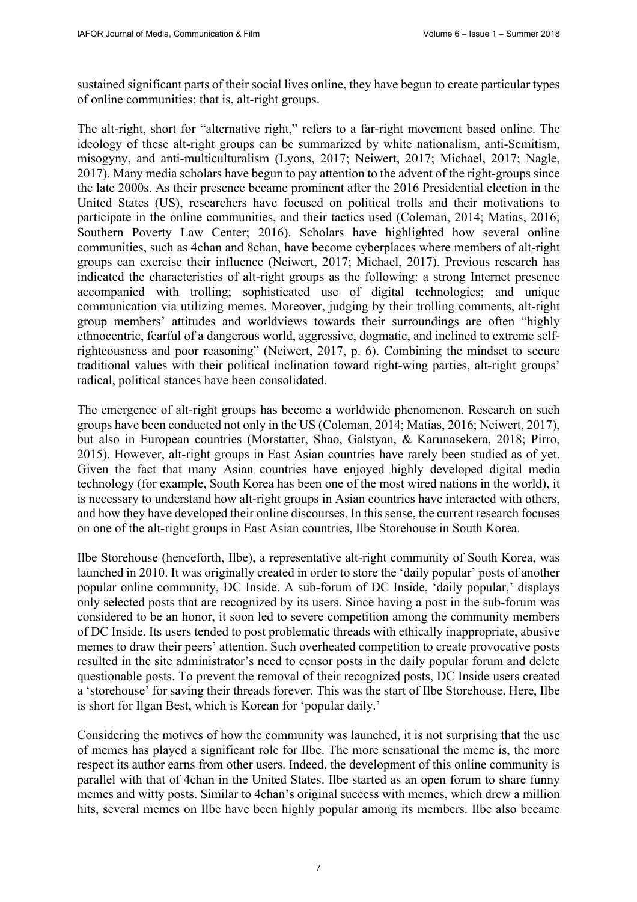sustained significant parts of their social lives online, they have begun to create particular types of online communities; that is, alt-right groups.

The alt-right, short for "alternative right," refers to a far-right movement based online. The ideology of these alt-right groups can be summarized by white nationalism, anti-Semitism, misogyny, and anti-multiculturalism (Lyons, 2017; Neiwert, 2017; Michael, 2017; Nagle, 2017). Many media scholars have begun to pay attention to the advent of the right-groups since the late 2000s. As their presence became prominent after the 2016 Presidential election in the United States (US), researchers have focused on political trolls and their motivations to participate in the online communities, and their tactics used (Coleman, 2014; Matias, 2016; Southern Poverty Law Center; 2016). Scholars have highlighted how several online communities, such as 4chan and 8chan, have become cyberplaces where members of alt-right groups can exercise their influence (Neiwert, 2017; Michael, 2017). Previous research has indicated the characteristics of alt-right groups as the following: a strong Internet presence accompanied with trolling; sophisticated use of digital technologies; and unique communication via utilizing memes. Moreover, judging by their trolling comments, alt-right group members' attitudes and worldviews towards their surroundings are often "highly ethnocentric, fearful of a dangerous world, aggressive, dogmatic, and inclined to extreme selfrighteousness and poor reasoning" (Neiwert, 2017, p. 6). Combining the mindset to secure traditional values with their political inclination toward right-wing parties, alt-right groups' radical, political stances have been consolidated.

The emergence of alt-right groups has become a worldwide phenomenon. Research on such groups have been conducted not only in the US (Coleman, 2014; Matias, 2016; Neiwert, 2017), but also in European countries (Morstatter, Shao, Galstyan, & Karunasekera, 2018; Pirro, 2015). However, alt-right groups in East Asian countries have rarely been studied as of yet. Given the fact that many Asian countries have enjoyed highly developed digital media technology (for example, South Korea has been one of the most wired nations in the world), it is necessary to understand how alt-right groups in Asian countries have interacted with others, and how they have developed their online discourses. In this sense, the current research focuses on one of the alt-right groups in East Asian countries, Ilbe Storehouse in South Korea.

Ilbe Storehouse (henceforth, Ilbe), a representative alt-right community of South Korea, was launched in 2010. It was originally created in order to store the 'daily popular' posts of another popular online community, DC Inside. A sub-forum of DC Inside, 'daily popular,' displays only selected posts that are recognized by its users. Since having a post in the sub-forum was considered to be an honor, it soon led to severe competition among the community members of DC Inside. Its users tended to post problematic threads with ethically inappropriate, abusive memes to draw their peers' attention. Such overheated competition to create provocative posts resulted in the site administrator's need to censor posts in the daily popular forum and delete questionable posts. To prevent the removal of their recognized posts, DC Inside users created a 'storehouse' for saving their threads forever. This was the start of Ilbe Storehouse. Here, Ilbe is short for Ilgan Best, which is Korean for 'popular daily.'

Considering the motives of how the community was launched, it is not surprising that the use of memes has played a significant role for Ilbe. The more sensational the meme is, the more respect its author earns from other users. Indeed, the development of this online community is parallel with that of 4chan in the United States. Ilbe started as an open forum to share funny memes and witty posts. Similar to 4chan's original success with memes, which drew a million hits, several memes on Ilbe have been highly popular among its members. Ilbe also became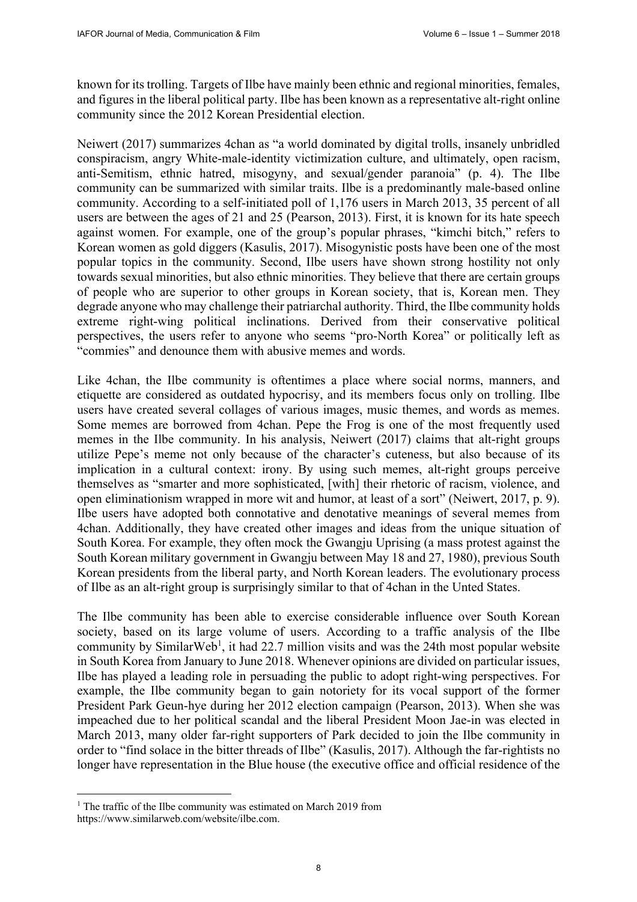known for its trolling. Targets of Ilbe have mainly been ethnic and regional minorities, females, and figures in the liberal political party. Ilbe has been known as a representative alt-right online community since the 2012 Korean Presidential election.

Neiwert (2017) summarizes 4chan as "a world dominated by digital trolls, insanely unbridled conspiracism, angry White-male-identity victimization culture, and ultimately, open racism, anti-Semitism, ethnic hatred, misogyny, and sexual/gender paranoia" (p. 4). The Ilbe community can be summarized with similar traits. Ilbe is a predominantly male-based online community. According to a self-initiated poll of 1,176 users in March 2013, 35 percent of all users are between the ages of 21 and 25 (Pearson, 2013). First, it is known for its hate speech against women. For example, one of the group's popular phrases, "kimchi bitch," refers to Korean women as gold diggers (Kasulis, 2017). Misogynistic posts have been one of the most popular topics in the community. Second, Ilbe users have shown strong hostility not only towards sexual minorities, but also ethnic minorities. They believe that there are certain groups of people who are superior to other groups in Korean society, that is, Korean men. They degrade anyone who may challenge their patriarchal authority. Third, the Ilbe community holds extreme right-wing political inclinations. Derived from their conservative political perspectives, the users refer to anyone who seems "pro-North Korea" or politically left as "commies" and denounce them with abusive memes and words.

Like 4chan, the Ilbe community is oftentimes a place where social norms, manners, and etiquette are considered as outdated hypocrisy, and its members focus only on trolling. Ilbe users have created several collages of various images, music themes, and words as memes. Some memes are borrowed from 4chan. Pepe the Frog is one of the most frequently used memes in the Ilbe community. In his analysis, Neiwert (2017) claims that alt-right groups utilize Pepe's meme not only because of the character's cuteness, but also because of its implication in a cultural context: irony. By using such memes, alt-right groups perceive themselves as "smarter and more sophisticated, [with] their rhetoric of racism, violence, and open eliminationism wrapped in more wit and humor, at least of a sort" (Neiwert, 2017, p. 9). Ilbe users have adopted both connotative and denotative meanings of several memes from 4chan. Additionally, they have created other images and ideas from the unique situation of South Korea. For example, they often mock the Gwangju Uprising (a mass protest against the South Korean military government in Gwangju between May 18 and 27, 1980), previous South Korean presidents from the liberal party, and North Korean leaders. The evolutionary process of Ilbe as an alt-right group is surprisingly similar to that of 4chan in the Unted States.

The Ilbe community has been able to exercise considerable influence over South Korean society, based on its large volume of users. According to a traffic analysis of the Ilbe community by Similar Web<sup>1</sup>, it had 22.7 million visits and was the 24th most popular website in South Korea from January to June 2018. Whenever opinions are divided on particular issues, Ilbe has played a leading role in persuading the public to adopt right-wing perspectives. For example, the Ilbe community began to gain notoriety for its vocal support of the former President Park Geun-hye during her 2012 election campaign (Pearson, 2013). When she was impeached due to her political scandal and the liberal President Moon Jae-in was elected in March 2013, many older far-right supporters of Park decided to join the Ilbe community in order to "find solace in the bitter threads of Ilbe" (Kasulis, 2017). Although the far-rightists no longer have representation in the Blue house (the executive office and official residence of the

 $\overline{a}$ 

<sup>&</sup>lt;sup>1</sup> The traffic of the Ilbe community was estimated on March 2019 from [https://www.similarweb.com/website/ilbe.com.](https://www.similarweb.com/website/ilbe.com)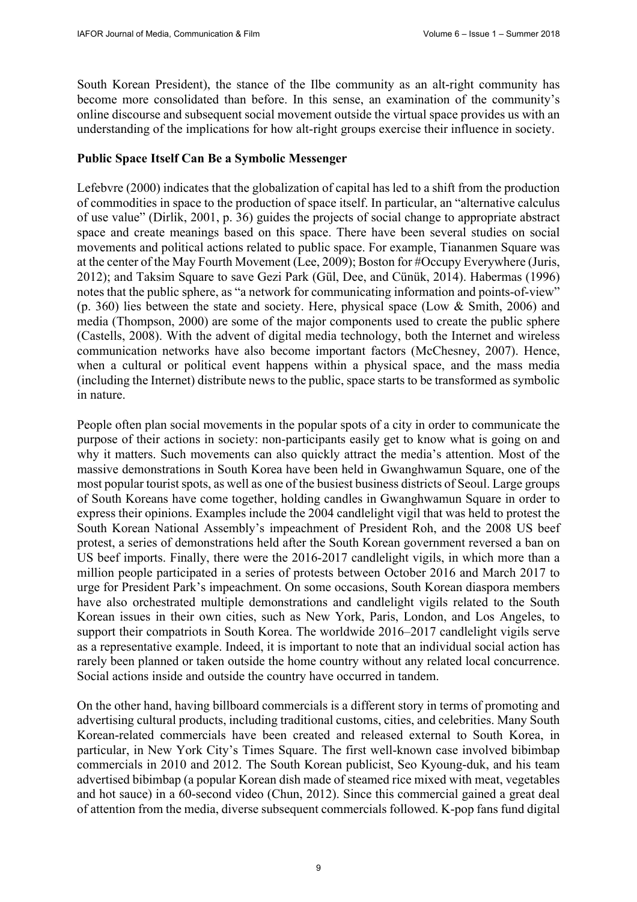South Korean President), the stance of the Ilbe community as an alt-right community has become more consolidated than before. In this sense, an examination of the community's online discourse and subsequent social movement outside the virtual space provides us with an understanding of the implications for how alt-right groups exercise their influence in society.

## **Public Space Itself Can Be a Symbolic Messenger**

Lefebvre (2000) indicates that the globalization of capital has led to a shift from the production of commodities in space to the production of space itself. In particular, an "alternative calculus of use value" (Dirlik, 2001, p. 36) guides the projects of social change to appropriate abstract space and create meanings based on this space. There have been several studies on social movements and political actions related to public space. For example, Tiananmen Square was at the center of the May Fourth Movement (Lee, 2009); Boston for #Occupy Everywhere (Juris, 2012); and Taksim Square to save Gezi Park (Gül, Dee, and Cünük, 2014). Habermas (1996) notes that the public sphere, as "a network for communicating information and points-of-view" (p. 360) lies between the state and society. Here, physical space (Low & Smith, 2006) and media (Thompson, 2000) are some of the major components used to create the public sphere (Castells, 2008). With the advent of digital media technology, both the Internet and wireless communication networks have also become important factors (McChesney, 2007). Hence, when a cultural or political event happens within a physical space, and the mass media (including the Internet) distribute news to the public, space starts to be transformed as symbolic in nature.

People often plan social movements in the popular spots of a city in order to communicate the purpose of their actions in society: non-participants easily get to know what is going on and why it matters. Such movements can also quickly attract the media's attention. Most of the massive demonstrations in South Korea have been held in Gwanghwamun Square, one of the most popular tourist spots, as well as one of the busiest business districts of Seoul. Large groups of South Koreans have come together, holding candles in Gwanghwamun Square in order to express their opinions. Examples include the 2004 candlelight vigil that was held to protest the South Korean National Assembly's impeachment of President Roh, and the 2008 US beef protest, a series of demonstrations held after the South Korean government reversed a ban on US beef imports. Finally, there were the 2016-2017 candlelight vigils, in which more than a million people participated in a series of protests between October 2016 and March 2017 to urge for President Park's impeachment. On some occasions, South Korean diaspora members have also orchestrated multiple demonstrations and candlelight vigils related to the South Korean issues in their own cities, such as New York, Paris, London, and Los Angeles, to support their compatriots in South Korea. The worldwide 2016–2017 candlelight vigils serve as a representative example. Indeed, it is important to note that an individual social action has rarely been planned or taken outside the home country without any related local concurrence. Social actions inside and outside the country have occurred in tandem.

On the other hand, having billboard commercials is a different story in terms of promoting and advertising cultural products, including traditional customs, cities, and celebrities. Many South Korean-related commercials have been created and released external to South Korea, in particular, in New York City's Times Square. The first well-known case involved bibimbap commercials in 2010 and 2012. The South Korean publicist, Seo Kyoung-duk, and his team advertised bibimbap (a popular Korean dish made of steamed rice mixed with meat, vegetables and hot sauce) in a 60-second video (Chun, 2012). Since this commercial gained a great deal of attention from the media, diverse subsequent commercials followed. K-pop fans fund digital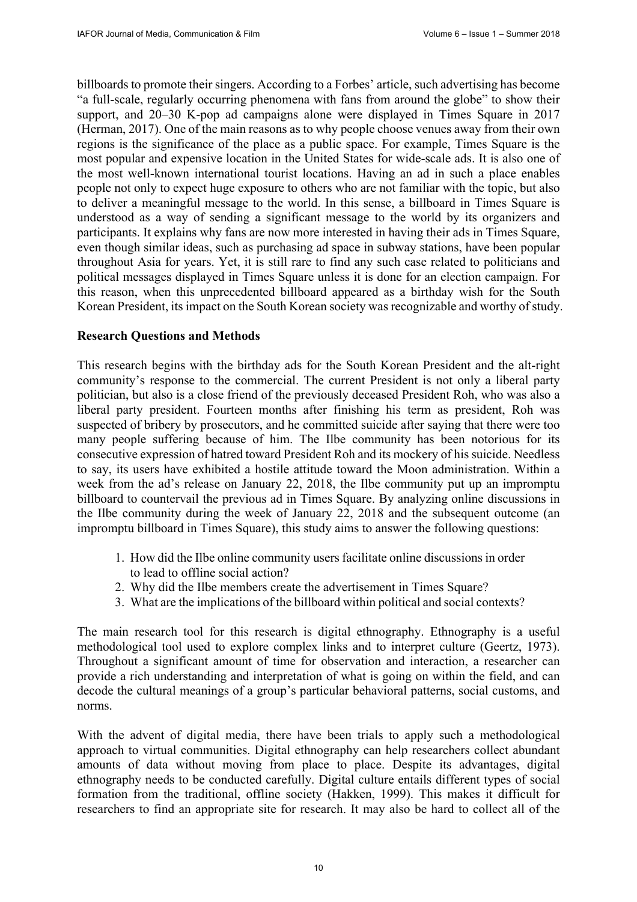billboards to promote their singers. According to a Forbes' article, such advertising has become "a full-scale, regularly occurring phenomena with fans from around the globe" to show their support, and 20–30 K-pop ad campaigns alone were displayed in Times Square in 2017 (Herman, 2017). One of the main reasons as to why people choose venues away from their own regions is the significance of the place as a public space. For example, Times Square is the most popular and expensive location in the United States for wide-scale ads. It is also one of the most well-known international tourist locations. Having an ad in such a place enables people not only to expect huge exposure to others who are not familiar with the topic, but also to deliver a meaningful message to the world. In this sense, a billboard in Times Square is understood as a way of sending a significant message to the world by its organizers and participants. It explains why fans are now more interested in having their ads in Times Square, even though similar ideas, such as purchasing ad space in subway stations, have been popular throughout Asia for years. Yet, it is still rare to find any such case related to politicians and political messages displayed in Times Square unless it is done for an election campaign. For this reason, when this unprecedented billboard appeared as a birthday wish for the South Korean President, its impact on the South Korean society was recognizable and worthy of study.

### **Research Questions and Methods**

This research begins with the birthday ads for the South Korean President and the alt-right community's response to the commercial. The current President is not only a liberal party politician, but also is a close friend of the previously deceased President Roh, who was also a liberal party president. Fourteen months after finishing his term as president, Roh was suspected of bribery by prosecutors, and he committed suicide after saying that there were too many people suffering because of him. The Ilbe community has been notorious for its consecutive expression of hatred toward President Roh and its mockery of his suicide. Needless to say, its users have exhibited a hostile attitude toward the Moon administration. Within a week from the ad's release on January 22, 2018, the Ilbe community put up an impromptu billboard to countervail the previous ad in Times Square. By analyzing online discussions in the Ilbe community during the week of January 22, 2018 and the subsequent outcome (an impromptu billboard in Times Square), this study aims to answer the following questions:

- 1. How did the Ilbe online community users facilitate online discussions in order to lead to offline social action?
- 2. Why did the Ilbe members create the advertisement in Times Square?
- 3. What are the implications of the billboard within political and social contexts?

The main research tool for this research is digital ethnography. Ethnography is a useful methodological tool used to explore complex links and to interpret culture (Geertz, 1973). Throughout a significant amount of time for observation and interaction, a researcher can provide a rich understanding and interpretation of what is going on within the field, and can decode the cultural meanings of a group's particular behavioral patterns, social customs, and norms.

With the advent of digital media, there have been trials to apply such a methodological approach to virtual communities. Digital ethnography can help researchers collect abundant amounts of data without moving from place to place. Despite its advantages, digital ethnography needs to be conducted carefully. Digital culture entails different types of social formation from the traditional, offline society (Hakken, 1999). This makes it difficult for researchers to find an appropriate site for research. It may also be hard to collect all of the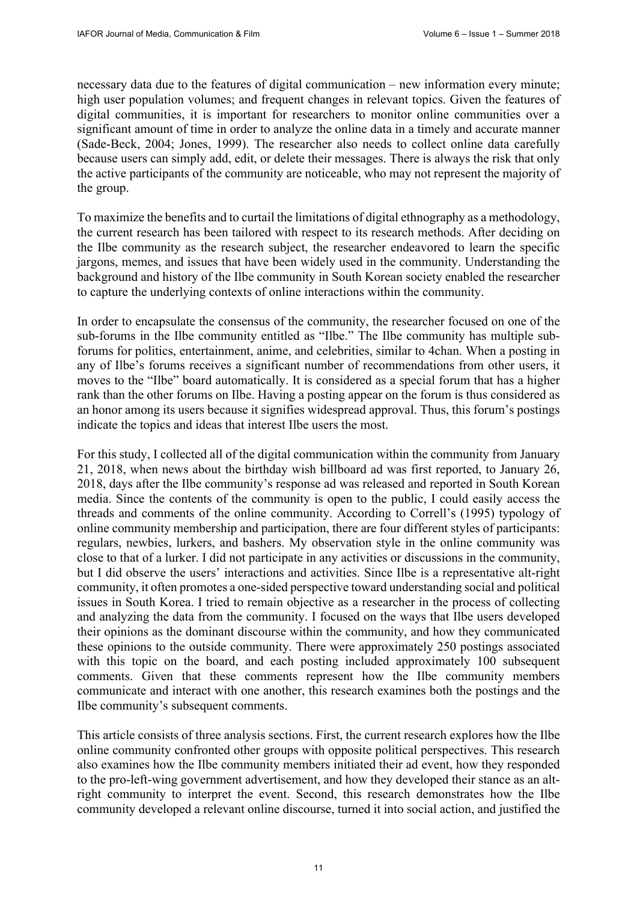necessary data due to the features of digital communication – new information every minute; high user population volumes; and frequent changes in relevant topics. Given the features of digital communities, it is important for researchers to monitor online communities over a significant amount of time in order to analyze the online data in a timely and accurate manner (Sade-Beck, 2004; Jones, 1999). The researcher also needs to collect online data carefully because users can simply add, edit, or delete their messages. There is always the risk that only the active participants of the community are noticeable, who may not represent the majority of the group.

To maximize the benefits and to curtail the limitations of digital ethnography as a methodology, the current research has been tailored with respect to its research methods. After deciding on the Ilbe community as the research subject, the researcher endeavored to learn the specific jargons, memes, and issues that have been widely used in the community. Understanding the background and history of the Ilbe community in South Korean society enabled the researcher to capture the underlying contexts of online interactions within the community.

In order to encapsulate the consensus of the community, the researcher focused on one of the sub-forums in the Ilbe community entitled as "Ilbe." The Ilbe community has multiple subforums for politics, entertainment, anime, and celebrities, similar to 4chan. When a posting in any of Ilbe's forums receives a significant number of recommendations from other users, it moves to the "Ilbe" board automatically. It is considered as a special forum that has a higher rank than the other forums on Ilbe. Having a posting appear on the forum is thus considered as an honor among its users because it signifies widespread approval. Thus, this forum's postings indicate the topics and ideas that interest Ilbe users the most.

For this study, I collected all of the digital communication within the community from January 21, 2018, when news about the birthday wish billboard ad was first reported, to January 26, 2018, days after the Ilbe community's response ad was released and reported in South Korean media. Since the contents of the community is open to the public, I could easily access the threads and comments of the online community. According to Correll's (1995) typology of online community membership and participation, there are four different styles of participants: regulars, newbies, lurkers, and bashers. My observation style in the online community was close to that of a lurker. I did not participate in any activities or discussions in the community, but I did observe the users' interactions and activities. Since Ilbe is a representative alt-right community, it often promotes a one-sided perspective toward understanding social and political issues in South Korea. I tried to remain objective as a researcher in the process of collecting and analyzing the data from the community. I focused on the ways that Ilbe users developed their opinions as the dominant discourse within the community, and how they communicated these opinions to the outside community. There were approximately 250 postings associated with this topic on the board, and each posting included approximately 100 subsequent comments. Given that these comments represent how the Ilbe community members communicate and interact with one another, this research examines both the postings and the Ilbe community's subsequent comments.

This article consists of three analysis sections. First, the current research explores how the Ilbe online community confronted other groups with opposite political perspectives. This research also examines how the Ilbe community members initiated their ad event, how they responded to the pro-left-wing government advertisement, and how they developed their stance as an altright community to interpret the event. Second, this research demonstrates how the Ilbe community developed a relevant online discourse, turned it into social action, and justified the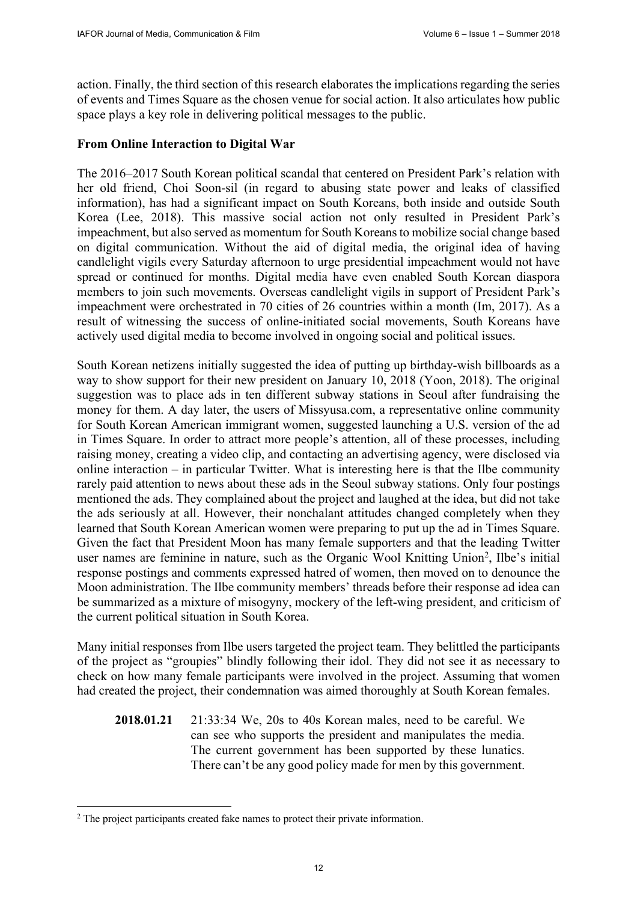action. Finally, the third section of this research elaborates the implications regarding the series of events and Times Square as the chosen venue for social action. It also articulates how public space plays a key role in delivering political messages to the public.

# **From Online Interaction to Digital War**

The 2016–2017 South Korean political scandal that centered on President Park's relation with her old friend, Choi Soon-sil (in regard to abusing state power and leaks of classified information), has had a significant impact on South Koreans, both inside and outside South Korea (Lee, 2018). This massive social action not only resulted in President Park's impeachment, but also served as momentum for South Koreans to mobilize social change based on digital communication. Without the aid of digital media, the original idea of having candlelight vigils every Saturday afternoon to urge presidential impeachment would not have spread or continued for months. Digital media have even enabled South Korean diaspora members to join such movements. Overseas candlelight vigils in support of President Park's impeachment were orchestrated in 70 cities of 26 countries within a month (Im, 2017). As a result of witnessing the success of online-initiated social movements, South Koreans have actively used digital media to become involved in ongoing social and political issues.

South Korean netizens initially suggested the idea of putting up birthday-wish billboards as a way to show support for their new president on January 10, 2018 (Yoon, 2018). The original suggestion was to place ads in ten different subway stations in Seoul after fundraising the money for them. A day later, the users of Missyusa.com, a representative online community for South Korean American immigrant women, suggested launching a U.S. version of the ad in Times Square. In order to attract more people's attention, all of these processes, including raising money, creating a video clip, and contacting an advertising agency, were disclosed via online interaction – in particular Twitter. What is interesting here is that the Ilbe community rarely paid attention to news about these ads in the Seoul subway stations. Only four postings mentioned the ads. They complained about the project and laughed at the idea, but did not take the ads seriously at all. However, their nonchalant attitudes changed completely when they learned that South Korean American women were preparing to put up the ad in Times Square. Given the fact that President Moon has many female supporters and that the leading Twitter user names are feminine in nature, such as the Organic Wool Knitting Union<sup>2</sup>, Ilbe's initial response postings and comments expressed hatred of women, then moved on to denounce the Moon administration. The Ilbe community members' threads before their response ad idea can be summarized as a mixture of misogyny, mockery of the left-wing president, and criticism of the current political situation in South Korea.

Many initial responses from Ilbe users targeted the project team. They belittled the participants of the project as "groupies" blindly following their idol. They did not see it as necessary to check on how many female participants were involved in the project. Assuming that women had created the project, their condemnation was aimed thoroughly at South Korean females.

**2018.01.21** 21:33:34 We, 20s to 40s Korean males, need to be careful. We can see who supports the president and manipulates the media. The current government has been supported by these lunatics. There can't be any good policy made for men by this government.

 $\overline{a}$ 

<sup>&</sup>lt;sup>2</sup> The project participants created fake names to protect their private information.